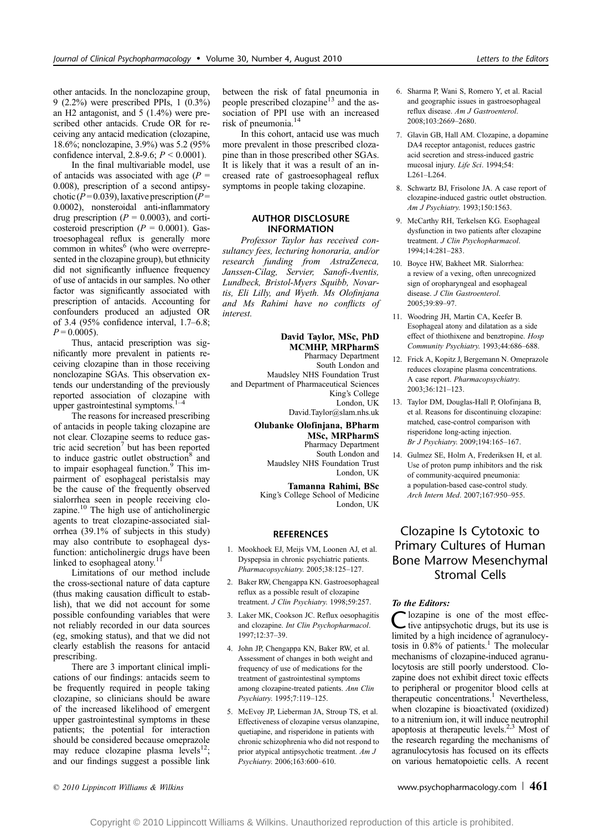other antacids. In the nonclozapine group, 9 (2.2%) were prescribed PPIs, 1 (0.3%) an H2 antagonist, and 5 (1.4%) were prescribed other antacids. Crude OR for receiving any antacid medication (clozapine, 18.6%; nonclozapine, 3.9%) was 5.2 (95% confidence interval, 2.8-9.6;  $P < 0.0001$ ).

In the final multivariable model, use of antacids was associated with age  $(P =$ 0.008), prescription of a second antipsychotic ( $P = 0.039$ ), laxative prescription ( $P =$ 0.0002), nonsteroidal anti-inflammatory drug prescription ( $P = 0.0003$ ), and corticosteroid prescription ( $P = 0.0001$ ). Gastroesophageal reflux is generally more common in whites<sup>6</sup> (who were overrepresented in the clozapine group), but ethnicity did not significantly influence frequency of use of antacids in our samples. No other factor was significantly associated with prescription of antacids. Accounting for confounders produced an adjusted OR of 3.4 (95% confidence interval,  $1.7-6.8$ ;  $P = 0.0005$ ).

Thus, antacid prescription was significantly more prevalent in patients receiving clozapine than in those receiving nonclozapine SGAs. This observation extends our understanding of the previously reported association of clozapine with upper gastrointestinal symptoms. $1-$ 

The reasons for increased prescribing of antacids in people taking clozapine are not clear. Clozapine seems to reduce gastric acid secretion<sup>7</sup> but has been reported to induce gastric outlet obstruction<sup>8</sup> and to impair esophageal function.<sup>9</sup> This impairment of esophageal peristalsis may be the cause of the frequently observed sialorrhea seen in people receiving clozapine.<sup>10</sup> The high use of anticholinergic agents to treat clozapine-associated sialorrhea (39.1% of subjects in this study) may also contribute to esophageal dysfunction: anticholinergic drugs have been linked to esophageal atony.<sup>1</sup>

Limitations of our method include the cross-sectional nature of data capture (thus making causation difficult to establish), that we did not account for some possible confounding variables that were not reliably recorded in our data sources (eg, smoking status), and that we did not clearly establish the reasons for antacid prescribing.

There are 3 important clinical implications of our findings: antacids seem to be frequently required in people taking clozapine, so clinicians should be aware of the increased likelihood of emergent upper gastrointestinal symptoms in these patients; the potential for interaction should be considered because omeprazole may reduce clozapine plasma levels<sup>12</sup>; and our findings suggest a possible link between the risk of fatal pneumonia in people prescribed clozapine<sup>13</sup> and the association of PPI use with an increased risk of pneumonia.<sup>14</sup>

In this cohort, antacid use was much more prevalent in those prescribed clozapine than in those prescribed other SGAs. It is likely that it was a result of an increased rate of gastroesophageal reflux symptoms in people taking clozapine.

### AUTHOR DISCLOSURE INFORMATION

Professor Taylor has received consultancy fees, lecturing honoraria, and/or research funding from AstraZeneca, Janssen-Cilag, Servier, Sanofi-Aventis, Lundbeck, Bristol-Myers Squibb, Novartis, Eli Lilly, and Wyeth. Ms Olofinjana and Ms Rahimi have no conflicts of interest.

#### David Taylor, MSc, PhD MCMHP, MRPharmS Pharmacy Department

South London and Maudsley NHS Foundation Trust and Department of Pharmaceutical Sciences King's College London, UK David.Taylor@slam.nhs.uk

#### Olubanke Olofinjana, BPharm MSc, MRPharmS Pharmacy Department South London and

Maudsley NHS Foundation Trust London, UK

Tamanna Rahimi, BSc King's College School of Medicine London, UK

## **REFERENCES**

- 1. Mookhoek EJ, Meijs VM, Loonen AJ, et al. Dyspepsia in chronic psychiatric patients. Pharmacopsychiatry. 2005;38:125-127.
- 2. Baker RW, Chengappa KN. Gastroesophageal reflux as a possible result of clozapine treatment. J Clin Psychiatry. 1998;59:257.
- 3. Laker MK, Cookson JC. Reflux oesophagitis and clozapine. Int Clin Psychopharmacol. 1997:12:37-39.
- 4. John JP, Chengappa KN, Baker RW, et al. Assessment of changes in both weight and frequency of use of medications for the treatment of gastrointestinal symptoms among clozapine-treated patients. Ann Clin Psychiatry. 1995;7:119-125.
- 5. McEvoy JP, Lieberman JA, Stroup TS, et al. Effectiveness of clozapine versus olanzapine, quetiapine, and risperidone in patients with chronic schizophrenia who did not respond to prior atypical antipsychotic treatment. Am J Psychiatry. 2006;163:600-610.
- 6. Sharma P, Wani S, Romero Y, et al. Racial and geographic issues in gastroesophageal reflux disease. Am J Gastroenterol.  $2008:103:2669 - 2680$
- 7. Glavin GB, Hall AM. Clozapine, a dopamine DA4 receptor antagonist, reduces gastric acid secretion and stress-induced gastric mucosal injury. Life Sci. 1994;54: L261-L264.
- 8. Schwartz BJ, Frisolone JA. A case report of clozapine-induced gastric outlet obstruction. Am J Psychiatry. 1993;150:1563.
- 9. McCarthy RH, Terkelsen KG. Esophageal dysfunction in two patients after clozapine treatment. J Clin Psychopharmacol. 1994:14:281-283.
- 10. Boyce HW, Bakheet MR. Sialorrhea: a review of a vexing, often unrecognized sign of oropharyngeal and esophageal disease. J Clin Gastroenterol.  $2005:39:89-97$
- 11. Woodring JH, Martin CA, Keefer B. Esophageal atony and dilatation as a side effect of thiothixene and benztropine. Hosp Community Psychiatry. 1993;44:686-688.
- 12. Frick A, Kopitz J, Bergemann N. Omeprazole reduces clozapine plasma concentrations. A case report. Pharmacopsychiatry. 2003:36:121-123.
- 13. Taylor DM, Douglas-Hall P, Olofinjana B, et al. Reasons for discontinuing clozapine: matched, case-control comparison with risperidone long-acting injection. Br J Psychiatry. 2009;194:165-167.
- 14. Gulmez SE, Holm A, Frederiksen H, et al. Use of proton pump inhibitors and the risk of community-acquired pneumonia: a population-based case-control study. Arch Intern Med. 2007;167:950-955.

# Clozapine Is Cytotoxic to Primary Cultures of Human Bone Marrow Mesenchymal Stromal Cells

## To the Editors:

C lozapine is one of the most effec-<br>tive antipsychotic drugs, but its use is limited by a high incidence of agranulocytosis in  $0.8\%$  of patients.<sup>1</sup> The molecular mechanisms of clozapine-induced agranulocytosis are still poorly understood. Clozapine does not exhibit direct toxic effects to peripheral or progenitor blood cells at therapeutic concentrations.<sup>1</sup> Nevertheless, when clozapine is bioactivated (oxidized) to a nitrenium ion, it will induce neutrophil apoptosis at therapeutic levels.2,3 Most of the research regarding the mechanisms of agranulocytosis has focused on its effects on various hematopoietic cells. A recent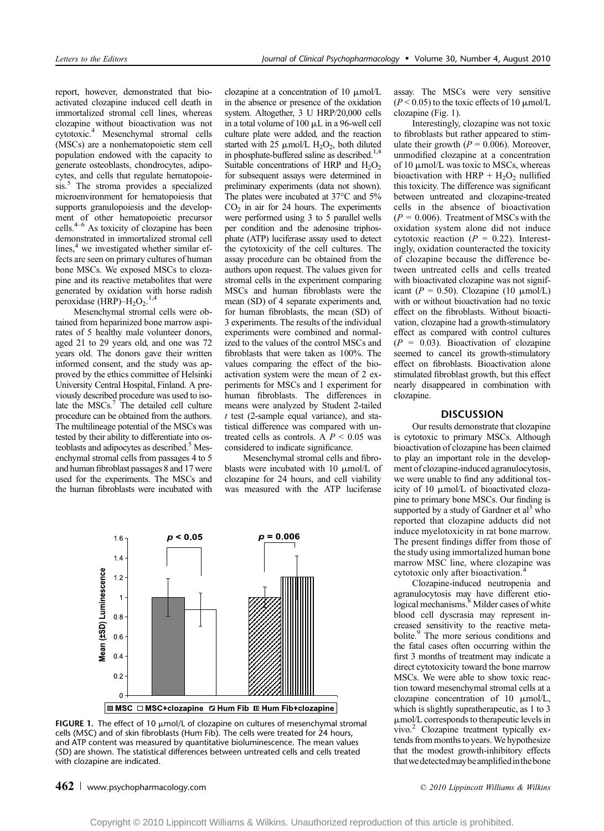report, however, demonstrated that bioactivated clozapine induced cell death in immortalized stromal cell lines, whereas clozapine without bioactivation was not cytotoxic.4 Mesenchymal stromal cells (MSCs) are a nonhematopoietic stem cell population endowed with the capacity to generate osteoblasts, chondrocytes, adipocytes, and cells that regulate hematopoiesis.<sup>5</sup> The stroma provides a specialized microenvironment for hematopoiesis that supports granulopoiesis and the development of other hematopoietic precursor<br>cells.<sup>4-6</sup> As toxicity of clozapine has been demonstrated in immortalized stromal cell lines, $4$  we investigated whether similar effects are seen on primary cultures of human bone MSCs. We exposed MSCs to clozapine and its reactive metabolites that were generated by oxidation with horse radish peroxidase (HRP) $-H_2O_2$ .<sup>1,4</sup>

Mesenchymal stromal cells were obtained from heparinized bone marrow aspirates of 5 healthy male volunteer donors, aged 21 to 29 years old, and one was 72 years old. The donors gave their written informed consent, and the study was approved by the ethics committee of Helsinki University Central Hospital, Finland. A previously described procedure was used to isolate the  $MSCs$ .<sup>7</sup> The detailed cell culture procedure can be obtained from the authors. The multilineage potential of the MSCs was tested by their ability to differentiate into osteoblasts and adipocytes as described.<sup>5</sup> Mesenchymal stromal cells from passages 4 to 5 and human fibroblast passages 8 and 17 were used for the experiments. The MSCs and the human fibroblasts were incubated with

clozapine at a concentration of 10  $\mu$ mol/L in the absence or presence of the oxidation system. Altogether, 3 U HRP/20,000 cells in a total volume of 100  $\mu$ L in a 96-well cell culture plate were added, and the reaction started with 25  $\mu$ mol/L H<sub>2</sub>O<sub>2</sub>, both diluted in phosphate-buffered saline as described.<sup>1,4</sup> Suitable concentrations of HRP and  $H_2O_2$ for subsequent assays were determined in preliminary experiments (data not shown). The plates were incubated at  $37^{\circ}$ C and  $5\%$  $CO<sub>2</sub>$  in air for 24 hours. The experiments were performed using 3 to 5 parallel wells per condition and the adenosine triphosphate (ATP) luciferase assay used to detect the cytotoxicity of the cell cultures. The assay procedure can be obtained from the authors upon request. The values given for stromal cells in the experiment comparing MSCs and human fibroblasts were the mean (SD) of 4 separate experiments and, for human fibroblasts, the mean (SD) of 3 experiments. The results of the individual experiments were combined and normalized to the values of the control MSCs and fibroblasts that were taken as 100%. The values comparing the effect of the bioactivation system were the mean of 2 experiments for MSCs and 1 experiment for human fibroblasts. The differences in means were analyzed by Student 2-tailed  $t$  test (2-sample equal variance), and statistical difference was compared with untreated cells as controls. A  $P < 0.05$  was considered to indicate significance.

Mesenchymal stromal cells and fibroblasts were incubated with 10  $\mu$ mol/L of clozapine for 24 hours, and cell viability was measured with the ATP luciferase



FIGURE 1. The effect of 10  $\mu$ mol/L of clozapine on cultures of mesenchymal stromal cells (MSC) and of skin fibroblasts (Hum Fib). The cells were treated for 24 hours, and ATP content was measured by quantitative bioluminescence. The mean values (SD) are shown. The statistical differences between untreated cells and cells treated with clozapine are indicated.

assay. The MSCs were very sensitive  $(P < 0.05)$  to the toxic effects of 10  $\mu$ mol/L clozapine (Fig. 1).

Interestingly, clozapine was not toxic to fibroblasts but rather appeared to stimulate their growth ( $P = 0.006$ ). Moreover, unmodified clozapine at a concentration of 10  $\mu$ mol/L was toxic to MSCs, whereas bioactivation with HRP +  $H_2O_2$  nullified this toxicity. The difference was significant between untreated and clozapine-treated cells in the absence of bioactivation  $(P = 0.006)$ . Treatment of MSCs with the oxidation system alone did not induce cytotoxic reaction ( $P = 0.22$ ). Interestingly, oxidation counteracted the toxicity of clozapine because the difference between untreated cells and cells treated with bioactivated clozapine was not significant ( $P = 0.50$ ). Clozapine (10  $\mu$ mol/L) with or without bioactivation had no toxic effect on the fibroblasts. Without bioactivation, clozapine had a growth-stimulatory effect as compared with control cultures  $(P = 0.03)$ . Bioactivation of clozapine seemed to cancel its growth-stimulatory effect on fibroblasts. Bioactivation alone stimulated fibroblast growth, but this effect nearly disappeared in combination with clozapine.

#### **DISCUSSION**

Our results demonstrate that clozapine is cytotoxic to primary MSCs. Although bioactivation of clozapine has been claimed to play an important role in the development of clozapine-induced agranulocytosis, we were unable to find any additional toxicity of 10  $\mu$ mol/L of bioactivated clozapine to primary bone MSCs. Our finding is supported by a study of Gardner et  $al<sup>3</sup>$  who reported that clozapine adducts did not induce myelotoxicity in rat bone marrow. The present findings differ from those of the study using immortalized human bone marrow MSC line, where clozapine was cytotoxic only after bioactivation.<sup>4</sup>

Clozapine-induced neutropenia and agranulocytosis may have different etio-<br>logical mechanisms.<sup>8</sup> Milder cases of white blood cell dyscrasia may represent increased sensitivity to the reactive metabolite.<sup>9</sup> The more serious conditions and the fatal cases often occurring within the first 3 months of treatment may indicate a direct cytotoxicity toward the bone marrow MSCs. We were able to show toxic reaction toward mesenchymal stromal cells at a clozapine concentration of 10  $\mu$ mol/L, which is slightly supratherapeutic, as 1 to 3  $\mu$ mol/L corresponds to therapeutic levels in vivo.2 Clozapine treatment typically extends from months to years. We hypothesize that the modest growth-inhibitory effects thatwe detectedmay beamplifiedinthe bone